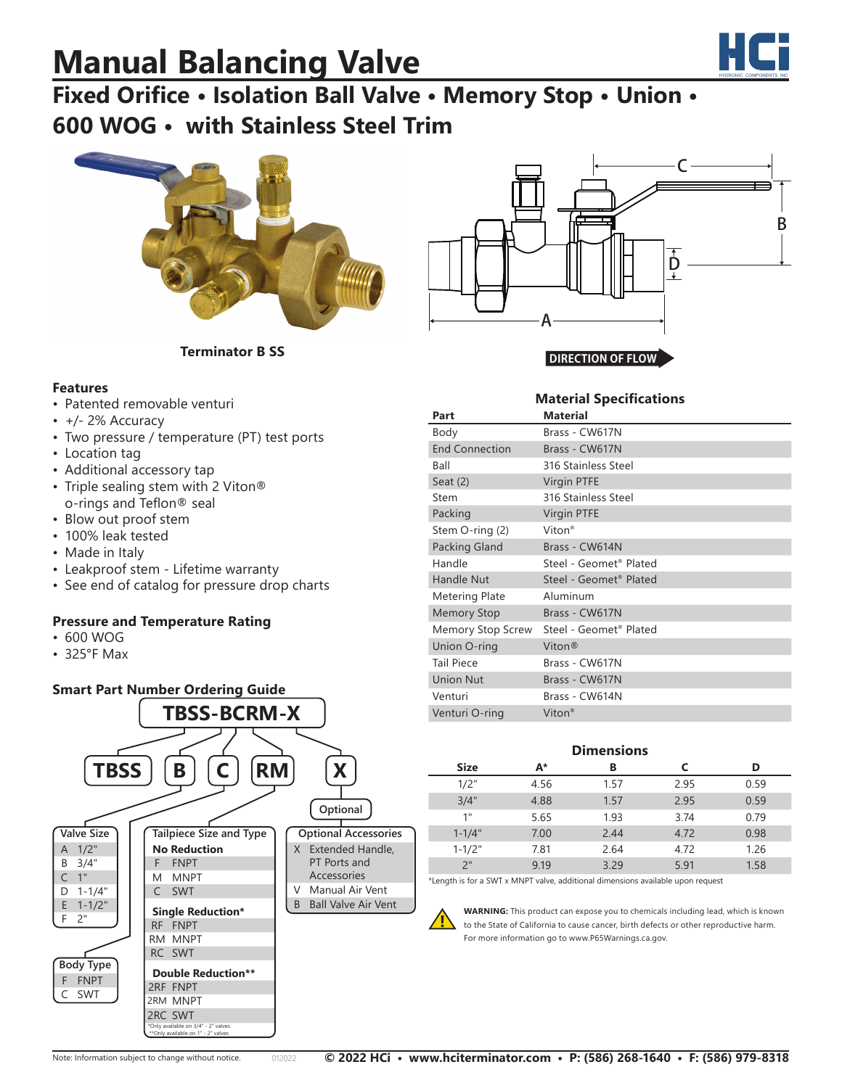# **Manual Balancing Valve**



## **Fixed Orifice • Isolation Ball Valve • Memory Stop • Union • 600 WOG • with Stainless Steel Trim**





**Material Specifications**

**Terminator B SS**

#### **Features**

- Patented removable venturi
- +/- 2% Accuracy
- Two pressure / temperature (PT) test ports
- Location tag
- Additional accessory tap
- Triple sealing stem with 2 Viton® o-rings and Teflon® seal
- Blow out proof stem
- 100% leak tested
- Made in Italy
- Leakproof stem Lifetime warranty
- See end of catalog for pressure drop charts

### **Pressure and Temperature Rating**

- 600 WOG
- 325°F Max



| Part                  | <b>Material</b>                    |  |  |  |
|-----------------------|------------------------------------|--|--|--|
| Body                  | Brass - CW617N                     |  |  |  |
| <b>End Connection</b> | Brass - CW617N                     |  |  |  |
| Ball                  | 316 Stainless Steel                |  |  |  |
| Seat $(2)$            | <b>Virgin PTFE</b>                 |  |  |  |
| Stem                  | 316 Stainless Steel                |  |  |  |
| Packing               | <b>Virgin PTFE</b>                 |  |  |  |
| Stem O-ring (2)       | Viton <sup>®</sup>                 |  |  |  |
| Packing Gland         | Brass - CW614N                     |  |  |  |
| Handle                | Steel - Geomet <sup>®</sup> Plated |  |  |  |
| <b>Handle Nut</b>     | Steel - Geomet <sup>®</sup> Plated |  |  |  |
| <b>Metering Plate</b> | Aluminum                           |  |  |  |
| <b>Memory Stop</b>    | Brass - CW617N                     |  |  |  |
| Memory Stop Screw     | Steel - Geomet <sup>®</sup> Plated |  |  |  |
| Union O-ring          | Viton®                             |  |  |  |
| <b>Tail Piece</b>     | Brass - CW617N                     |  |  |  |
| <b>Union Nut</b>      | Brass - CW617N                     |  |  |  |
| Venturi               | Brass - CW614N                     |  |  |  |
| Venturi O-ring        | Viton <sup>®</sup>                 |  |  |  |

#### **Dimensions**

| <b>Size</b>                                                                                          | A*   | В    |      | D    |  |
|------------------------------------------------------------------------------------------------------|------|------|------|------|--|
| 1/2"                                                                                                 | 4.56 | 1.57 | 2.95 | 0.59 |  |
| 3/4"                                                                                                 | 4.88 | 1.57 | 2.95 | 0.59 |  |
| 1"                                                                                                   | 5.65 | 1.93 | 3.74 | 0.79 |  |
| $1 - 1/4"$                                                                                           | 7.00 | 2.44 | 4.72 | 0.98 |  |
| $1 - 1/2"$                                                                                           | 7.81 | 2.64 | 4.72 | 1.26 |  |
| 2"                                                                                                   | 9.19 | 3.29 | 5.91 | 1.58 |  |
| 레 오스 사이트 스토리스 오스 - CNAMPT - NANOUST - 지수는 그 사이트 사진 스토리스 사진 사진 스토리스 - 오스 - 스토리스 - 오스 - 오스 - 오스 - 오스 - |      |      |      |      |  |

\*Length is for a SWT x MNPT valve, additional dimensions available upon request

**WARNING:** This product can expose you to chemicals including lead, which is known to the State of California to cause cancer, birth defects or other reproductive harm. For more information go to www.P65Warnings.ca.gov.

**!**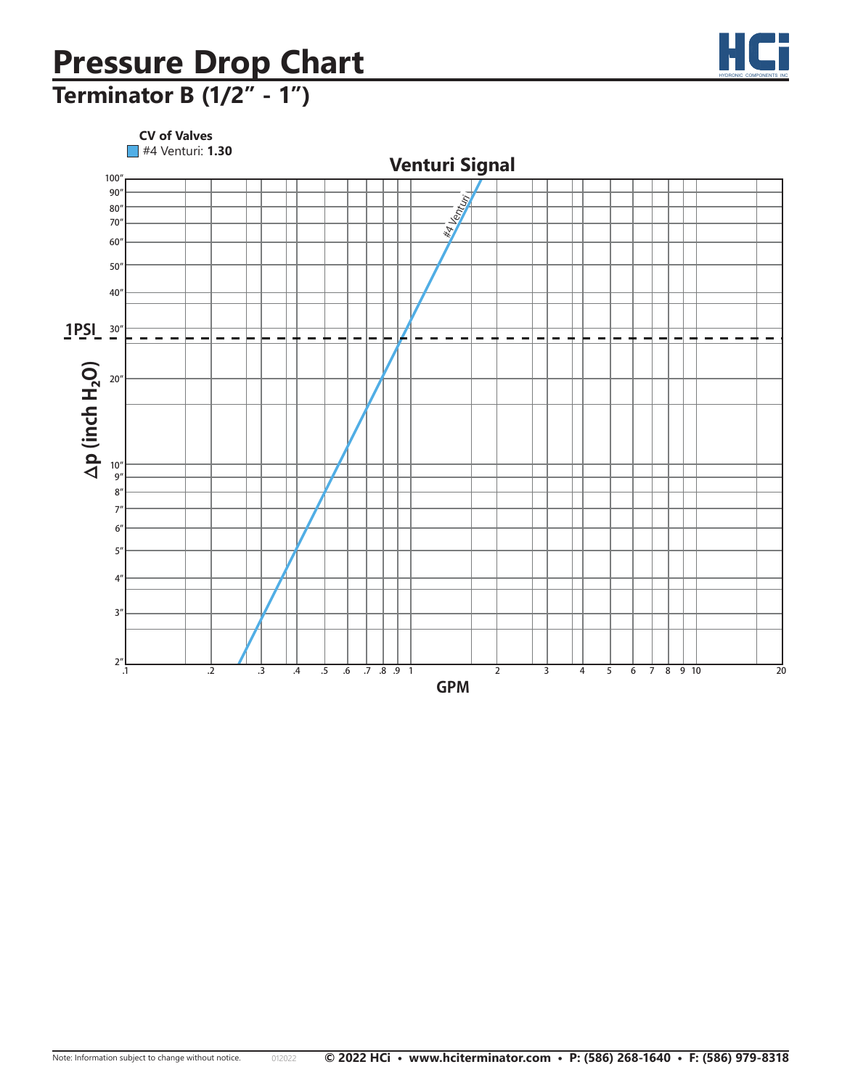### **Pressure Drop Chart PARAIRE Drop Chart**

# **Terminator B (1/2" - 1") Terminator B (1/2"- 3/4")**



HYDRONIC COMPONENTS INC

HC